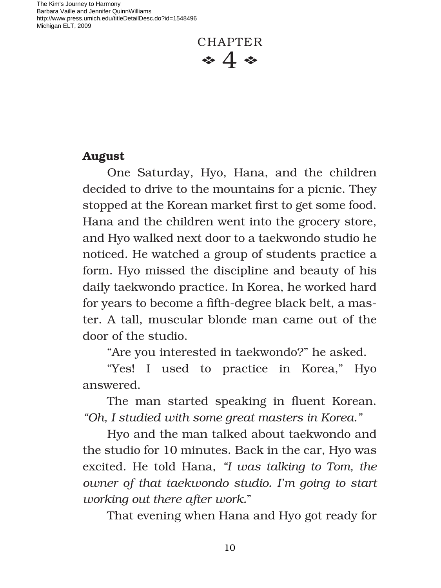The Kim's Journey to Harmony Barbara Vaille and Jennifer QuinnWilliams http://www.press.umich.edu/titleDetailDesc.do?id=1548496 Michigan ELT, 2009

CHAPTER  $\bullet$  4  $\bullet$ 

## **August**

One Saturday, Hyo, Hana, and the children decided to drive to the mountains for a picnic. They stopped at the Korean market first to get some food. Hana and the children went into the grocery store, and Hyo walked next door to a taekwondo studio he noticed. He watched a group of students practice a form. Hyo missed the discipline and beauty of his daily taekwondo practice. In Korea, he worked hard for years to become a fifth-degree black belt, a master. A tall, muscular blonde man came out of the door of the studio.

"Are you interested in taekwondo?" he asked.

"Yes! I used to practice in Korea," Hyo answered.

The man started speaking in fluent Korean. *"Oh, I studied with some great masters in Korea."*

Hyo and the man talked about taekwondo and the studio for 10 minutes. Back in the car, Hyo was excited. He told Hana, *"I was talking to Tom, the owner of that taekwondo studio. I'm going to start working out there after work.*"

That evening when Hana and Hyo got ready for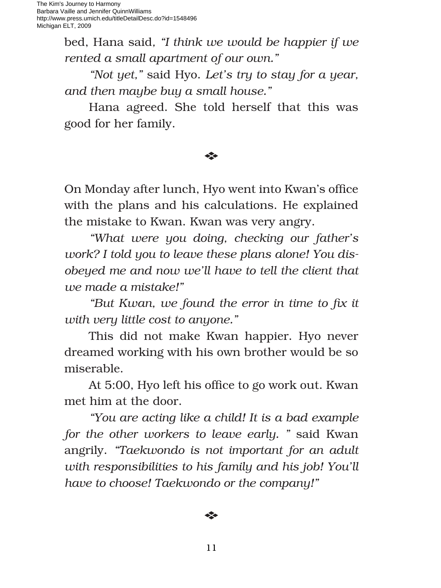bed, Hana said*, "I think we would be happier if we rented a small apartment of our own."*

*"Not yet,"* said Hyo. *Let's try to stay for a year, and then maybe buy a small house."*

Hana agreed. She told herself that this was good for her family.

## E

On Monday after lunch, Hyo went into Kwan's office with the plans and his calculations. He explained the mistake to Kwan. Kwan was very angry.

*"What were you doing, checking our father's work? I told you to leave these plans alone! You disobeyed me and now we'll have to tell the client that we made a mistake!"*

"But Kwan, we found the error in time to fix it *with very little cost to anyone."* 

This did not make Kwan happier. Hyo never dreamed working with his own brother would be so miserable.

At 5:00, Hyo left his office to go work out. Kwan met him at the door.

*"You are acting like a child! It is a bad example for the other workers to leave early. "* said Kwan angrily. *"Taekwondo is not important for an adult with responsibilities to his family and his job! You'll have to choose! Taekwondo or the company!"*